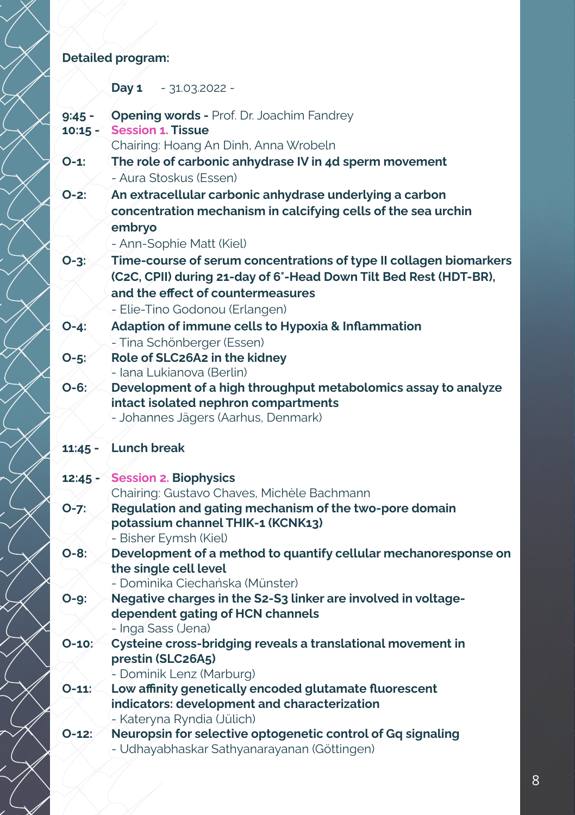## Detailed program:

ł

Χ7

 $\overline{\phantom{a}}$ 

|                       | Day 1<br>- 31.03.2022 -                                                                                                                                                                                        |
|-----------------------|----------------------------------------------------------------------------------------------------------------------------------------------------------------------------------------------------------------|
| $9:45 -$<br>$10:15 -$ | <b>Opening words - Prof. Dr. Joachim Fandrey</b><br><b>Session 1. Tissue</b><br>Chairing: Hoang An Dinh, Anna Wrobeln                                                                                          |
| $O-1$ :               | The role of carbonic anhydrase IV in 4d sperm movement<br>- Aura Stoskus (Essen)                                                                                                                               |
| $O-2:$                | An extracellular carbonic anhydrase underlying a carbon<br>concentration mechanism in calcifying cells of the sea urchin<br>embryo<br>- Ann-Sophie Matt (Kiel)                                                 |
| $O-3:$                | Time-course of serum concentrations of type II collagen biomarkers<br>(C2C, CPII) during 21-day of 6°-Head Down Tilt Bed Rest (HDT-BR),<br>and the effect of countermeasures<br>- Elie-Tino Godonou (Erlangen) |
| $O - 4:$              | Adaption of immune cells to Hypoxia & Inflammation<br>- Tina Schönberger (Essen)                                                                                                                               |
| $O-5:$                | Role of SLC26A2 in the kidney<br>- Iana Lukianova (Berlin)                                                                                                                                                     |
| $O - 6:$              | Development of a high throughput metabolomics assay to analyze<br>intact isolated nephron compartments<br>- Johannes Jägers (Aarhus, Denmark)                                                                  |
| $11:45 -$             | <b>Lunch break</b>                                                                                                                                                                                             |
| $12:45 -$             | <b>Session 2. Biophysics</b><br>Chairing: Gustavo Chaves, Michèle Bachmann                                                                                                                                     |
| $O - 7:$              | Regulation and gating mechanism of the two-pore domain<br>potassium channel THIK-1 (KCNK13)<br>- Bisher Eymsh (Kiel)                                                                                           |
| $O-8:$                | Development of a method to quantify cellular mechanoresponse on<br>the single cell level<br>- Dominika Ciechańska (Münster)                                                                                    |
| $O-9:$                | Negative charges in the S2-S3 linker are involved in voltage-<br>dependent gating of HCN channels<br>- Inga Sass (Jena)                                                                                        |
| $O-10$                | Cysteine cross-bridging reveals a translational movement in<br>prestin (SLC26A5)<br>- Dominik Lenz (Marburg)                                                                                                   |
| $O-11$                | Low affinity genetically encoded glutamate fluorescent<br>indicators: development and characterization<br>- Kateryna Ryndia (Jülich)                                                                           |
| $O-12$ :              | Neuropsin for selective optogenetic control of Gq signaling<br>- Udhayabhaskar Sathyanarayanan (Göttingen)                                                                                                     |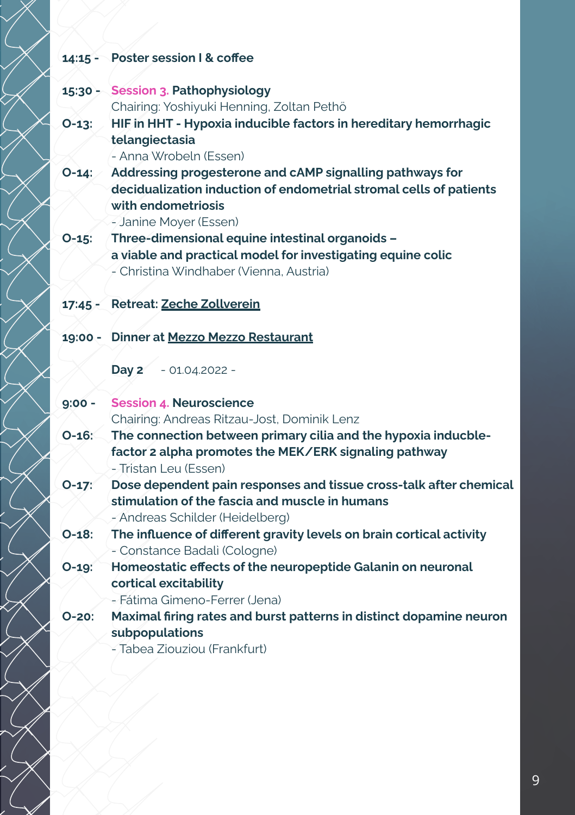## 14:15 - Poster session I & coffee

◇

 $\lesssim$ 

 $\oslash$ I

> 1  $\, \rangle \,$

|          | 15:30 - Session 3. Pathophysiology                                                                                                                                                   |
|----------|--------------------------------------------------------------------------------------------------------------------------------------------------------------------------------------|
|          | Chairing: Yoshiyuki Henning, Zoltan Pethö                                                                                                                                            |
| $O-13$ : | HIF in HHT - Hypoxia inducible factors in hereditary hemorrhagic<br>telangiectasia                                                                                                   |
|          | - Anna Wrobeln (Essen)                                                                                                                                                               |
|          | O-14: Addressing progesterone and cAMP signalling pathways for<br>decidualization induction of endometrial stromal cells of patients<br>with endometriosis<br>- Janine Moyer (Essen) |
| $O-15$ : | Three-dimensional equine intestinal organoids -                                                                                                                                      |
|          | a viable and practical model for investigating equine colic                                                                                                                          |
|          | - Christina Windhaber (Vienna, Austria)                                                                                                                                              |
|          | 17:45 - Retreat: Zeche Zollverein                                                                                                                                                    |
|          |                                                                                                                                                                                      |
|          | 19:00 - Dinner at Mezzo Mezzo Restaurant                                                                                                                                             |
|          | Day 2<br>$-01.04.2022 -$                                                                                                                                                             |
| $9:00 -$ | <b>Session 4. Neuroscience</b>                                                                                                                                                       |
|          | Chairing: Andreas Ritzau-Jost, Dominik Lenz                                                                                                                                          |
| $O-16$ : | The connection between primary cilia and the hypoxia inducble-<br>factor 2 alpha promotes the MEK/ERK signaling pathway<br>- Tristan Leu (Essen)                                     |
| $O-17$   | Dose dependent pain responses and tissue cross-talk after chemical                                                                                                                   |
|          | stimulation of the fascia and muscle in humans                                                                                                                                       |
|          | - Andreas Schilder (Heidelberg)                                                                                                                                                      |
| $O-18:$  | The influence of different gravity levels on brain cortical activity                                                                                                                 |
|          | - Constance Badali (Cologne)                                                                                                                                                         |
| $O-19$ : | Homeostatic effects of the neuropeptide Galanin on neuronal                                                                                                                          |
|          | cortical excitability                                                                                                                                                                |
|          | - Fátima Gimeno-Ferrer (Jena)                                                                                                                                                        |
| $O-20:$  | Maximal firing rates and burst patterns in distinct dopamine neuron                                                                                                                  |
|          | subpopulations                                                                                                                                                                       |
|          | - Tabea Ziouziou (Frankfurt)                                                                                                                                                         |
|          |                                                                                                                                                                                      |
|          |                                                                                                                                                                                      |